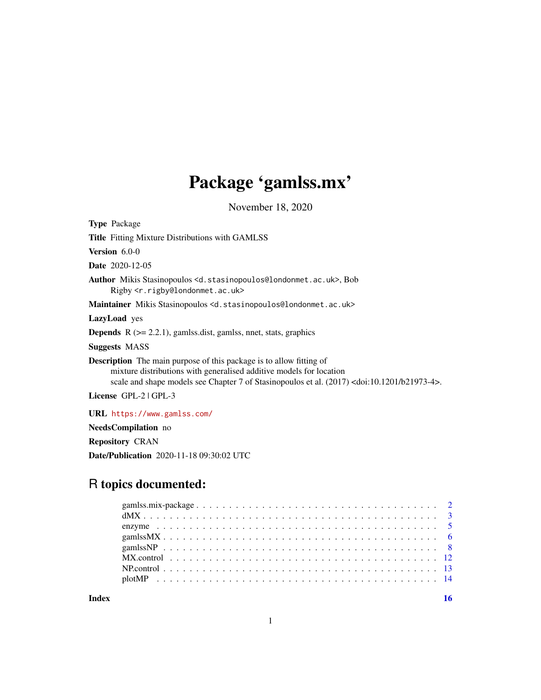# Package 'gamlss.mx'

November 18, 2020

<span id="page-0-0"></span>

| <b>Type Package</b>                                                                                                                                                                                                                                               |
|-------------------------------------------------------------------------------------------------------------------------------------------------------------------------------------------------------------------------------------------------------------------|
| <b>Title</b> Fitting Mixture Distributions with GAMLSS                                                                                                                                                                                                            |
| <b>Version</b> $6.0-0$                                                                                                                                                                                                                                            |
| <b>Date</b> 2020-12-05                                                                                                                                                                                                                                            |
| Author Mikis Stasinopoulos <d.stasinopoulos@londonmet.ac.uk>, Bob<br/>Rigby <r.rigby@londonmet.ac.uk></r.rigby@londonmet.ac.uk></d.stasinopoulos@londonmet.ac.uk>                                                                                                 |
| <b>Maintainer</b> Mikis Stasinopoulos <d.stasinopoulos@londonmet.ac.uk></d.stasinopoulos@londonmet.ac.uk>                                                                                                                                                         |
| <b>LazyLoad</b> yes                                                                                                                                                                                                                                               |
| <b>Depends</b> $R$ ( $> = 2.2.1$ ), gamlss.dist, gamlss, nnet, stats, graphics                                                                                                                                                                                    |
| <b>Suggests MASS</b>                                                                                                                                                                                                                                              |
| <b>Description</b> The main purpose of this package is to allow fitting of<br>mixture distributions with generalised additive models for location<br>scale and shape models see Chapter 7 of Stasinopoulos et al. (2017) <doi:10.1201 b21973-4="">.</doi:10.1201> |
| License GPL-2   GPL-3                                                                                                                                                                                                                                             |
| URL https://www.gamlss.com/                                                                                                                                                                                                                                       |
| NeedsCompilation no                                                                                                                                                                                                                                               |
| <b>Repository CRAN</b>                                                                                                                                                                                                                                            |

Date/Publication 2020-11-18 09:30:02 UTC

### R topics documented:

**Index** the contract of the contract of the contract of the contract of the contract of the contract of the contract of the contract of the contract of the contract of the contract of the contract of the contract of the co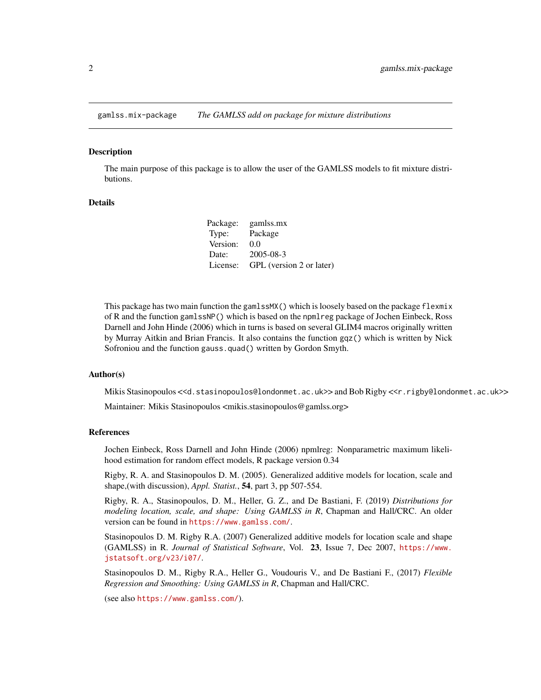<span id="page-1-0"></span>

The main purpose of this package is to allow the user of the GAMLSS models to fit mixture distributions.

#### Details

| Package: | gamlss.mx                |
|----------|--------------------------|
| Type:    | Package                  |
| Version: | 0.0                      |
| Date:    | $2005 - 08 - 3$          |
| License: | GPL (version 2 or later) |

This package has two main function the gamlssMX() which is loosely based on the package flexmix of R and the function gamlssNP() which is based on the npmlreg package of Jochen Einbeck, Ross Darnell and John Hinde (2006) which in turns is based on several GLIM4 macros originally written by Murray Aitkin and Brian Francis. It also contains the function gqz() which is written by Nick Sofroniou and the function gauss.quad() written by Gordon Smyth.

#### Author(s)

Mikis Stasinopoulos <<d.stasinopoulos@londonmet.ac.uk>> and Bob Rigby <<r.rigby@londonmet.ac.uk>>

Maintainer: Mikis Stasinopoulos <mikis.stasinopoulos@gamlss.org>

#### References

Jochen Einbeck, Ross Darnell and John Hinde (2006) npmlreg: Nonparametric maximum likelihood estimation for random effect models, R package version 0.34

Rigby, R. A. and Stasinopoulos D. M. (2005). Generalized additive models for location, scale and shape,(with discussion), *Appl. Statist.*, 54, part 3, pp 507-554.

Rigby, R. A., Stasinopoulos, D. M., Heller, G. Z., and De Bastiani, F. (2019) *Distributions for modeling location, scale, and shape: Using GAMLSS in R*, Chapman and Hall/CRC. An older version can be found in <https://www.gamlss.com/>.

Stasinopoulos D. M. Rigby R.A. (2007) Generalized additive models for location scale and shape (GAMLSS) in R. *Journal of Statistical Software*, Vol. 23, Issue 7, Dec 2007, [https://www.](https://www.jstatsoft.org/v23/i07/) [jstatsoft.org/v23/i07/](https://www.jstatsoft.org/v23/i07/).

Stasinopoulos D. M., Rigby R.A., Heller G., Voudouris V., and De Bastiani F., (2017) *Flexible Regression and Smoothing: Using GAMLSS in R*, Chapman and Hall/CRC.

(see also <https://www.gamlss.com/>).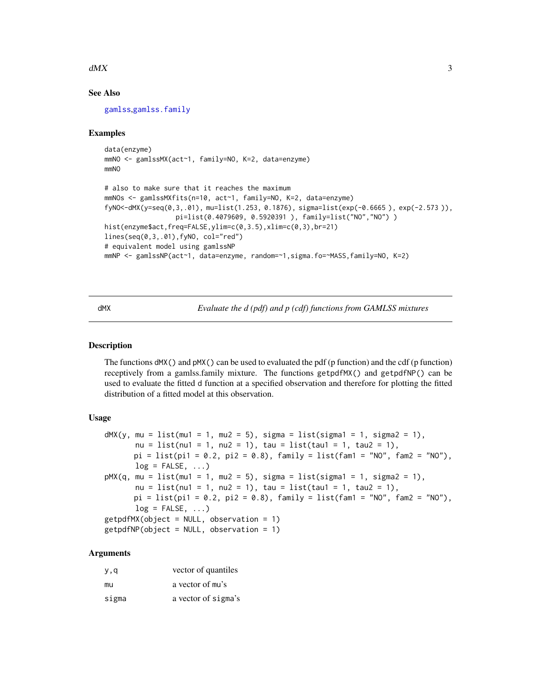#### <span id="page-2-0"></span> $dMX$  3

#### See Also

[gamlss](#page-0-0),[gamlss.family](#page-0-0)

#### Examples

```
data(enzyme)
mmNO <- gamlssMX(act~1, family=NO, K=2, data=enzyme)
mmNO
# also to make sure that it reaches the maximum
mmNOs <- gamlssMXfits(n=10, act~1, family=NO, K=2, data=enzyme)
fyNO<-dMX(y=seq(0,3,.01), mu=list(1.253, 0.1876), sigma=list(exp(-0.6665 ), exp(-2.573 )),
                  pi=list(0.4079609, 0.5920391 ), family=list("NO","NO") )
hist(enzyme$act,freq=FALSE,ylim=c(0,3.5),xlim=c(0,3),br=21)
lines(seq(0,3,.01),fyNO, col="red")
# equivalent model using gamlssNP
mmNP <- gamlssNP(act~1, data=enzyme, random=~1,sigma.fo=~MASS,family=NO, K=2)
```
dMX *Evaluate the d (pdf) and p (cdf) functions from GAMLSS mixtures*

#### Description

The functions  $dMX()$  and  $pMX()$  can be used to evaluated the pdf (p function) and the cdf (p function) receptively from a gamlss.family mixture. The functions getpdfMX() and getpdfNP() can be used to evaluate the fitted d function at a specified observation and therefore for plotting the fitted distribution of a fitted model at this observation.

#### Usage

```
dMX(y, mu = list(mu1 = 1, mu2 = 5), sigma = list(sigma = 1, sigma = 1),nu = list(nu1 = 1, nu2 = 1), tau = list(tau1 = 1, tau2 = 1),pi = list(pi1 = 0.2, pi2 = 0.8), family = list(fam1 = "NO", fam2 = "NO"),log = FALSE, ...)pMX(q, mu = list(mu1 = 1, mu2 = 5), sigma = list(sigma1 = 1, sigma2 = 1),nu = list(nu1 = 1, nu2 = 1), tau = list(tau1 = 1, tau2 = 1),pi = list(pi1 = 0.2, pi2 = 0.8), family = list(fam1 = "NO", fam2 = "NO"),log = FALSE, ...)getpdfMX(object = NULL, observation = 1)getpdfNP(object = NULL, observation = 1)
```
#### Arguments

| y,q   | vector of quantiles |
|-------|---------------------|
| mu    | a vector of mu's    |
| sigma | a vector of sigma's |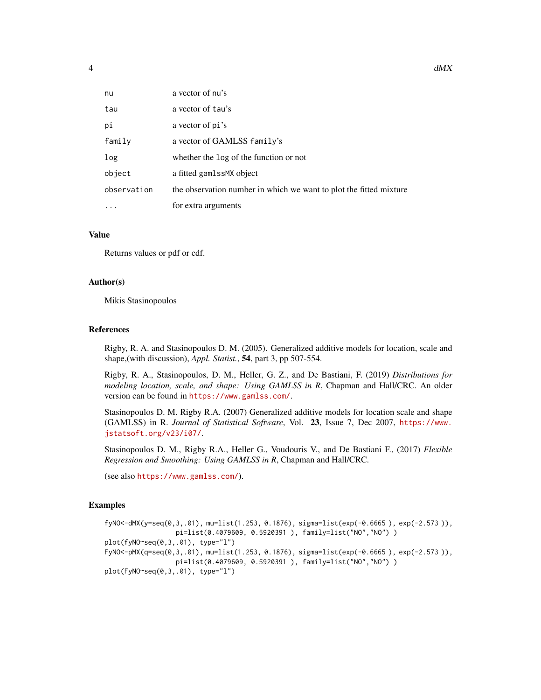| nu          | a vector of nu's                                                   |
|-------------|--------------------------------------------------------------------|
| tau         | a vector of tau's                                                  |
| рi          | a vector of pi's                                                   |
| family      | a vector of GAMLSS family's                                        |
| log         | whether the log of the function or not                             |
| object      | a fitted gamlssMX object                                           |
| observation | the observation number in which we want to plot the fitted mixture |
| .           | for extra arguments                                                |

#### Value

Returns values or pdf or cdf.

#### Author(s)

Mikis Stasinopoulos

#### References

Rigby, R. A. and Stasinopoulos D. M. (2005). Generalized additive models for location, scale and shape,(with discussion), *Appl. Statist.*, 54, part 3, pp 507-554.

Rigby, R. A., Stasinopoulos, D. M., Heller, G. Z., and De Bastiani, F. (2019) *Distributions for modeling location, scale, and shape: Using GAMLSS in R*, Chapman and Hall/CRC. An older version can be found in <https://www.gamlss.com/>.

Stasinopoulos D. M. Rigby R.A. (2007) Generalized additive models for location scale and shape (GAMLSS) in R. *Journal of Statistical Software*, Vol. 23, Issue 7, Dec 2007, [https://www.](https://www.jstatsoft.org/v23/i07/) [jstatsoft.org/v23/i07/](https://www.jstatsoft.org/v23/i07/).

Stasinopoulos D. M., Rigby R.A., Heller G., Voudouris V., and De Bastiani F., (2017) *Flexible Regression and Smoothing: Using GAMLSS in R*, Chapman and Hall/CRC.

(see also <https://www.gamlss.com/>).

#### Examples

```
fyNO<-dMX(y=seq(0,3,.01), mu=list(1.253, 0.1876), sigma=list(exp(-0.6665 ), exp(-2.573 )),
                  pi=list(0.4079609, 0.5920391 ), family=list("NO","NO") )
plot(fyNO~seq(0,3,.01), type="l")
FyNO<-pMX(q=seq(0,3,.01), mu=list(1.253, 0.1876), sigma=list(exp(-0.6665 ), exp(-2.573 )),
                  pi=list(0.4079609, 0.5920391 ), family=list("NO","NO") )
plot(FyNO~seq(0,3,.01), type="l")
```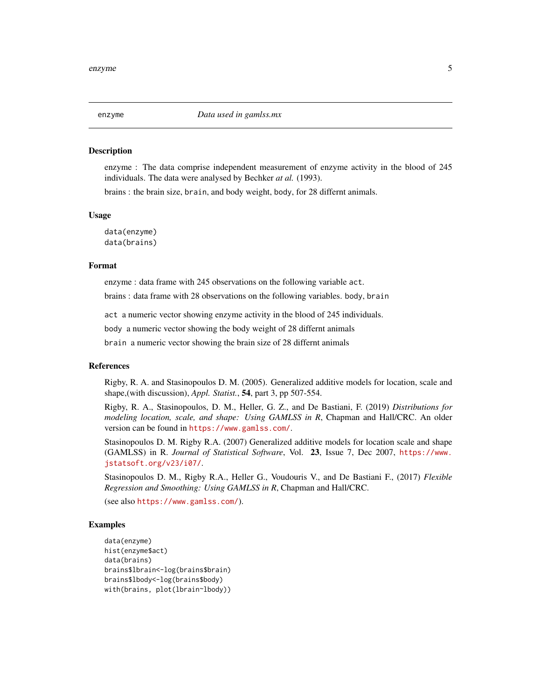<span id="page-4-0"></span>

enzyme : The data comprise independent measurement of enzyme activity in the blood of 245 individuals. The data were analysed by Bechker *at al.* (1993).

brains : the brain size, brain, and body weight, body, for 28 differnt animals.

#### Usage

data(enzyme) data(brains)

#### Format

enzyme : data frame with 245 observations on the following variable act.

brains : data frame with 28 observations on the following variables. body, brain

act a numeric vector showing enzyme activity in the blood of 245 individuals.

body a numeric vector showing the body weight of 28 differnt animals

brain a numeric vector showing the brain size of 28 differnt animals

#### References

Rigby, R. A. and Stasinopoulos D. M. (2005). Generalized additive models for location, scale and shape,(with discussion), *Appl. Statist.*, 54, part 3, pp 507-554.

Rigby, R. A., Stasinopoulos, D. M., Heller, G. Z., and De Bastiani, F. (2019) *Distributions for modeling location, scale, and shape: Using GAMLSS in R*, Chapman and Hall/CRC. An older version can be found in <https://www.gamlss.com/>.

Stasinopoulos D. M. Rigby R.A. (2007) Generalized additive models for location scale and shape (GAMLSS) in R. *Journal of Statistical Software*, Vol. 23, Issue 7, Dec 2007, [https://www.](https://www.jstatsoft.org/v23/i07/) [jstatsoft.org/v23/i07/](https://www.jstatsoft.org/v23/i07/).

Stasinopoulos D. M., Rigby R.A., Heller G., Voudouris V., and De Bastiani F., (2017) *Flexible Regression and Smoothing: Using GAMLSS in R*, Chapman and Hall/CRC.

(see also <https://www.gamlss.com/>).

#### Examples

```
data(enzyme)
hist(enzyme$act)
data(brains)
brains$lbrain<-log(brains$brain)
brains$lbody<-log(brains$body)
with(brains, plot(lbrain~lbody))
```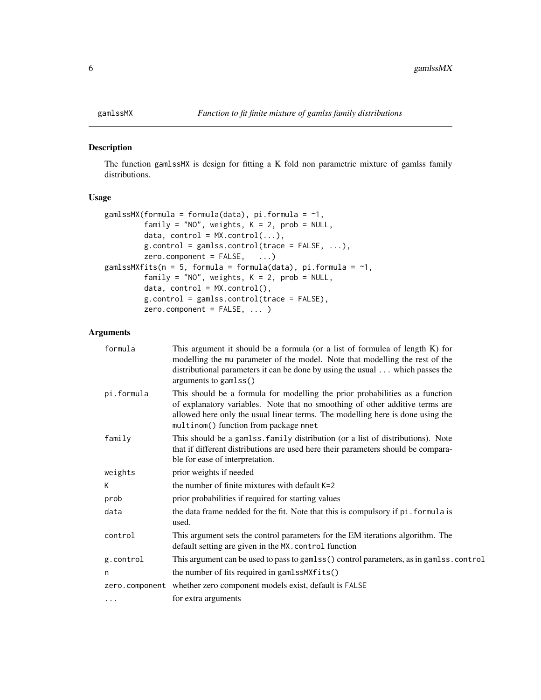<span id="page-5-2"></span><span id="page-5-1"></span><span id="page-5-0"></span>The function gamlssMX is design for fitting a K fold non parametric mixture of gamlss family distributions.

#### Usage

```
gamlssMX(formula = formula(data), pi.formula = ~1,
         family = "NO", weights, K = 2, prob = NULL,
         data, control = MX.control(...),
        g.control = gamlss.control(trace = FALSE, ...),zero. component = FALSE, ...)gamlssMXfits(n = 5, formula = formula(data), pi.formula = \sim 1,
         family = "NO", weights, K = 2, prob = NULL,
         data, control = MX.control(),
         g.control = gamlss.control(trace = FALSE),
         zero.component = FALSE, ... )
```
#### Arguments

| formula    | This argument it should be a formula (or a list of formulea of length K) for<br>modelling the mu parameter of the model. Note that modelling the rest of the<br>distributional parameters it can be done by using the usual  which passes the<br>arguments to gamlss()                  |
|------------|-----------------------------------------------------------------------------------------------------------------------------------------------------------------------------------------------------------------------------------------------------------------------------------------|
| pi.formula | This should be a formula for modelling the prior probabilities as a function<br>of explanatory variables. Note that no smoothing of other additive terms are<br>allowed here only the usual linear terms. The modelling here is done using the<br>multinom() function from package nnet |
| family     | This should be a gamlss. family distribution (or a list of distributions). Note<br>that if different distributions are used here their parameters should be compara-<br>ble for ease of interpretation.                                                                                 |
| weights    | prior weights if needed                                                                                                                                                                                                                                                                 |
| К          | the number of finite mixtures with default $K=2$                                                                                                                                                                                                                                        |
| prob       | prior probabilities if required for starting values                                                                                                                                                                                                                                     |
| data       | the data frame nedded for the fit. Note that this is compulsory if pi. formula is<br>used.                                                                                                                                                                                              |
| control    | This argument sets the control parameters for the EM iterations algorithm. The<br>default setting are given in the MX. control function                                                                                                                                                 |
| g.control  | This argument can be used to pass to gamlss() control parameters, as in gamlss.control                                                                                                                                                                                                  |
| n          | the number of fits required in gamlssMXfits()                                                                                                                                                                                                                                           |
|            | zero.component whether zero component models exist, default is FALSE                                                                                                                                                                                                                    |
| $\cdots$   | for extra arguments                                                                                                                                                                                                                                                                     |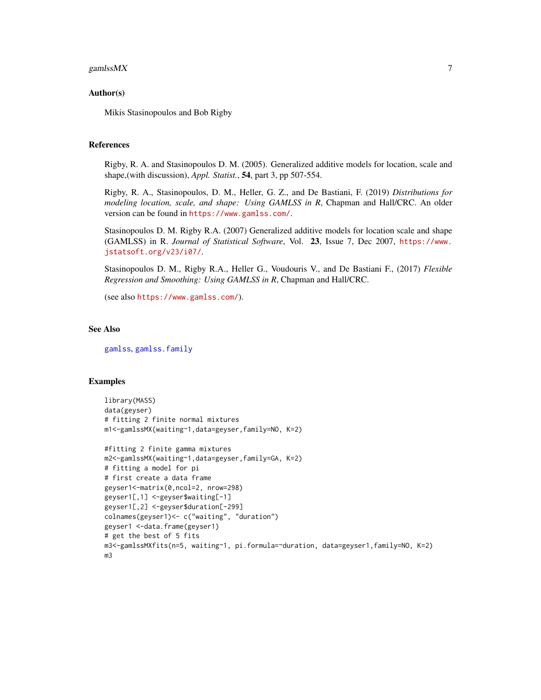#### <span id="page-6-0"></span>gamlss $MX$   $7$

#### Author(s)

Mikis Stasinopoulos and Bob Rigby

#### References

Rigby, R. A. and Stasinopoulos D. M. (2005). Generalized additive models for location, scale and shape,(with discussion), *Appl. Statist.*, 54, part 3, pp 507-554.

Rigby, R. A., Stasinopoulos, D. M., Heller, G. Z., and De Bastiani, F. (2019) *Distributions for modeling location, scale, and shape: Using GAMLSS in R*, Chapman and Hall/CRC. An older version can be found in <https://www.gamlss.com/>.

Stasinopoulos D. M. Rigby R.A. (2007) Generalized additive models for location scale and shape (GAMLSS) in R. *Journal of Statistical Software*, Vol. 23, Issue 7, Dec 2007, [https://www.](https://www.jstatsoft.org/v23/i07/) [jstatsoft.org/v23/i07/](https://www.jstatsoft.org/v23/i07/).

Stasinopoulos D. M., Rigby R.A., Heller G., Voudouris V., and De Bastiani F., (2017) *Flexible Regression and Smoothing: Using GAMLSS in R*, Chapman and Hall/CRC.

(see also <https://www.gamlss.com/>).

#### See Also

[gamlss](#page-0-0), [gamlss.family](#page-0-0)

#### Examples

```
library(MASS)
data(geyser)
# fitting 2 finite normal mixtures
m1<-gamlssMX(waiting~1,data=geyser,family=NO, K=2)
#fitting 2 finite gamma mixtures
m2<-gamlssMX(waiting~1,data=geyser,family=GA, K=2)
# fitting a model for pi
# first create a data frame
geyser1<-matrix(0,ncol=2, nrow=298)
geyser1[,1] <-geyser$waiting[-1]
geyser1[,2] <-geyser$duration[-299]
colnames(geyser1)<- c("waiting", "duration")
geyser1 <-data.frame(geyser1)
# get the best of 5 fits
m3<-gamlssMXfits(n=5, waiting~1, pi.formula=~duration, data=geyser1,family=NO, K=2)
m3
```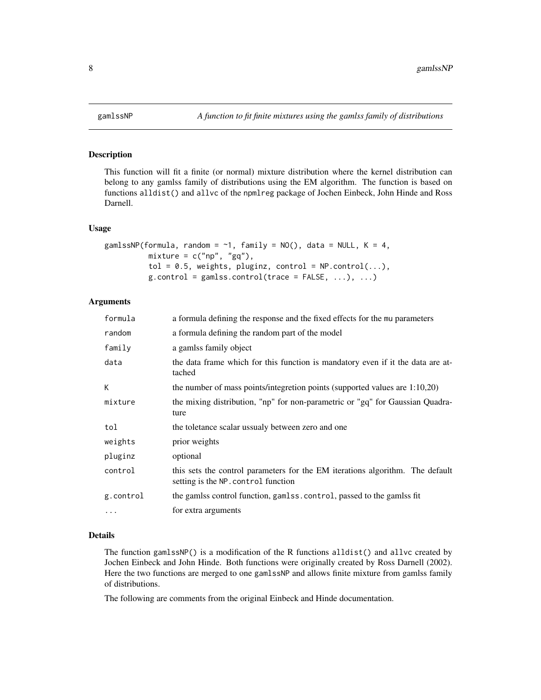<span id="page-7-1"></span><span id="page-7-0"></span>

This function will fit a finite (or normal) mixture distribution where the kernel distribution can belong to any gamlss family of distributions using the EM algorithm. The function is based on functions alldist() and allvc of the npmlreg package of Jochen Einbeck, John Hinde and Ross Darnell.

#### Usage

```
gamlssNP(formula, random = \sim1, family = NO(), data = NULL, K = 4,
            mixture = c("np", "gq"),
            tol = 0.5, weights, pluginz, control = NP.control(...),
            g.\text{control} = \text{gamlss}.\text{control}(\text{trace} = \text{FALSE}, \ldots), \ldots)
```
### Arguments

| formula   | a formula defining the response and the fixed effects for the mu parameters                                          |
|-----------|----------------------------------------------------------------------------------------------------------------------|
| random    | a formula defining the random part of the model                                                                      |
| family    | a gamlss family object                                                                                               |
| data      | the data frame which for this function is mandatory even if it the data are at-<br>tached                            |
| K         | the number of mass points/integretion points (supported values are $1:10,20$ )                                       |
| mixture   | the mixing distribution, "np" for non-parametric or "gq" for Gaussian Quadra-<br>ture                                |
| tol       | the toletance scalar ussualy between zero and one                                                                    |
| weights   | prior weights                                                                                                        |
| pluginz   | optional                                                                                                             |
| control   | this sets the control parameters for the EM iterations algorithm. The default<br>setting is the NP. control function |
| g.control | the gamlss control function, gamlss.control, passed to the gamlss fit                                                |
| $\ddots$  | for extra arguments                                                                                                  |

#### Details

The function gamlssNP() is a modification of the R functions alldist() and allvc created by Jochen Einbeck and John Hinde. Both functions were originally created by Ross Darnell (2002). Here the two functions are merged to one gamlssNP and allows finite mixture from gamlss family of distributions.

The following are comments from the original Einbeck and Hinde documentation.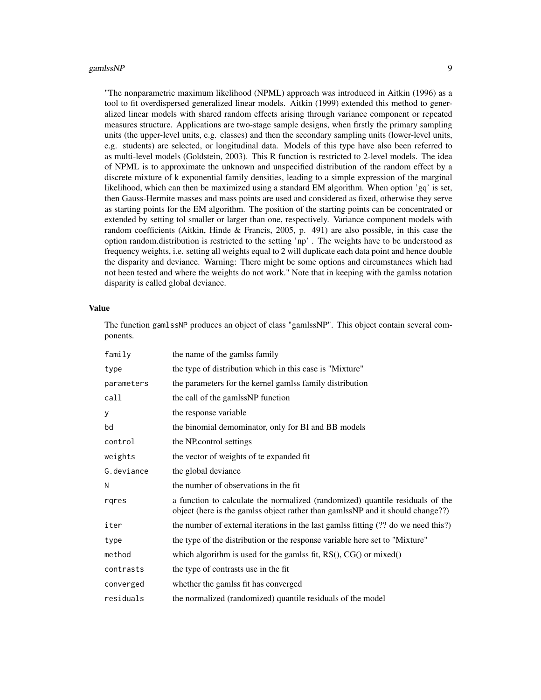#### gamlss $NP$  99

"The nonparametric maximum likelihood (NPML) approach was introduced in Aitkin (1996) as a tool to fit overdispersed generalized linear models. Aitkin (1999) extended this method to generalized linear models with shared random effects arising through variance component or repeated measures structure. Applications are two-stage sample designs, when firstly the primary sampling units (the upper-level units, e.g. classes) and then the secondary sampling units (lower-level units, e.g. students) are selected, or longitudinal data. Models of this type have also been referred to as multi-level models (Goldstein, 2003). This R function is restricted to 2-level models. The idea of NPML is to approximate the unknown and unspecified distribution of the random effect by a discrete mixture of k exponential family densities, leading to a simple expression of the marginal likelihood, which can then be maximized using a standard EM algorithm. When option 'gq' is set, then Gauss-Hermite masses and mass points are used and considered as fixed, otherwise they serve as starting points for the EM algorithm. The position of the starting points can be concentrated or extended by setting tol smaller or larger than one, respectively. Variance component models with random coefficients (Aitkin, Hinde & Francis, 2005, p. 491) are also possible, in this case the option random.distribution is restricted to the setting 'np' . The weights have to be understood as frequency weights, i.e. setting all weights equal to 2 will duplicate each data point and hence double the disparity and deviance. Warning: There might be some options and circumstances which had not been tested and where the weights do not work." Note that in keeping with the gamlss notation disparity is called global deviance.

#### Value

The function gamlssNP produces an object of class "gamlssNP". This object contain several components.

| family     | the name of the gamlss family                                                                                                                                   |
|------------|-----------------------------------------------------------------------------------------------------------------------------------------------------------------|
| type       | the type of distribution which in this case is "Mixture"                                                                                                        |
| parameters | the parameters for the kernel gamlss family distribution                                                                                                        |
| call       | the call of the gamlssNP function                                                                                                                               |
| y          | the response variable                                                                                                                                           |
| bd         | the binomial demominator, only for BI and BB models                                                                                                             |
| control    | the NP control settings                                                                                                                                         |
| weights    | the vector of weights of te expanded fit                                                                                                                        |
| G.deviance | the global deviance                                                                                                                                             |
| N          | the number of observations in the fit                                                                                                                           |
| rgres      | a function to calculate the normalized (randomized) quantile residuals of the<br>object (here is the gamlss object rather than gamlssNP and it should change??) |
| iter       | the number of external iterations in the last gamlss fitting (?? do we need this?)                                                                              |
| type       | the type of the distribution or the response variable here set to "Mixture"                                                                                     |
| method     | which algorithm is used for the gamlss fit, $RS()$ , $CG()$ or mixed $()$                                                                                       |
| contrasts  | the type of contrasts use in the fit                                                                                                                            |
| converged  | whether the gamlss fit has converged                                                                                                                            |
| residuals  | the normalized (randomized) quantile residuals of the model                                                                                                     |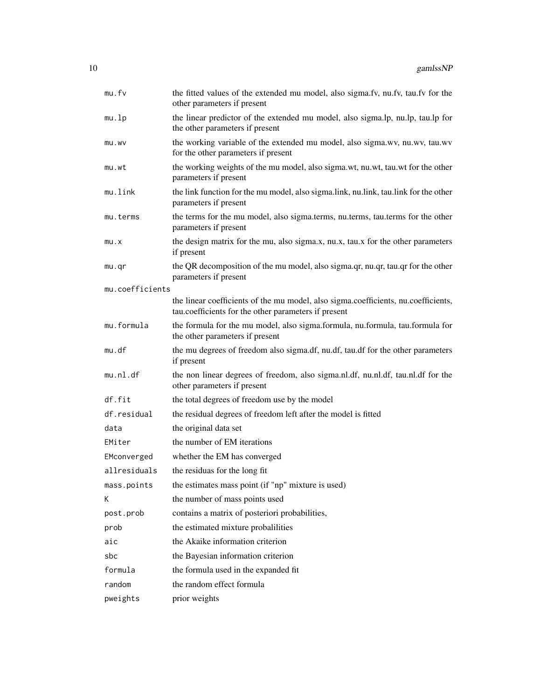| mu.fv           | the fitted values of the extended mu model, also sigma.fv, nu.fv, tau.fv for the<br>other parameters if present                            |
|-----------------|--------------------------------------------------------------------------------------------------------------------------------------------|
| mu.lp           | the linear predictor of the extended mu model, also sigma.lp, nu.lp, tau.lp for<br>the other parameters if present                         |
| mu.wv           | the working variable of the extended mu model, also sigma.wv, nu.wv, tau.wv<br>for the other parameters if present                         |
| mu.wt           | the working weights of the mu model, also sigma.wt, nu.wt, tau.wt for the other<br>parameters if present                                   |
| mu.link         | the link function for the mu model, also sigma.link, nu.link, tau.link for the other<br>parameters if present                              |
| mu.terms        | the terms for the mu model, also sigma.terms, nu.terms, tau.terms for the other<br>parameters if present                                   |
| mu.x            | the design matrix for the mu, also sigma.x, nu.x, tau.x for the other parameters<br>if present                                             |
| mu.qr           | the QR decomposition of the mu model, also sigma.qr, nu.qr, tau.qr for the other<br>parameters if present                                  |
| mu.coefficients |                                                                                                                                            |
|                 | the linear coefficients of the mu model, also sigma.coefficients, nu.coefficients,<br>tau.coefficients for the other parameters if present |
| mu.formula      | the formula for the mu model, also sigma.formula, nu.formula, tau.formula for<br>the other parameters if present                           |
| mu.df           | the mu degrees of freedom also sigma.df, nu.df, tau.df for the other parameters<br>if present                                              |
| mu.nl.df        | the non linear degrees of freedom, also sigma.nl.df, nu.nl.df, tau.nl.df for the<br>other parameters if present                            |
| df.fit          | the total degrees of freedom use by the model                                                                                              |
| df.residual     | the residual degrees of freedom left after the model is fitted                                                                             |
| data            | the original data set                                                                                                                      |
| EMiter          | the number of EM iterations                                                                                                                |
| EMconverged     | whether the EM has converged                                                                                                               |
| allresiduals    | the residuas for the long fit                                                                                                              |
| mass.points     | the estimates mass point (if "np" mixture is used)                                                                                         |
| Κ               | the number of mass points used                                                                                                             |
| post.prob       | contains a matrix of posteriori probabilities,                                                                                             |
| prob            | the estimated mixture probalilities                                                                                                        |
| aic             | the Akaike information criterion                                                                                                           |
| sbc             | the Bayesian information criterion                                                                                                         |
| formula         | the formula used in the expanded fit                                                                                                       |
| random          | the random effect formula                                                                                                                  |
| pweights        | prior weights                                                                                                                              |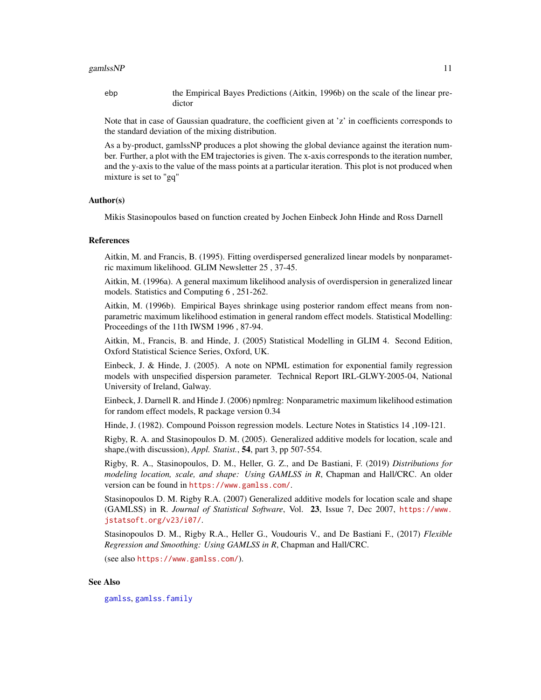#### <span id="page-10-0"></span>gamlss $NP$  11

ebp the Empirical Bayes Predictions (Aitkin, 1996b) on the scale of the linear predictor

Note that in case of Gaussian quadrature, the coefficient given at 'z' in coefficients corresponds to the standard deviation of the mixing distribution.

As a by-product, gamlssNP produces a plot showing the global deviance against the iteration number. Further, a plot with the EM trajectories is given. The x-axis corresponds to the iteration number, and the y-axis to the value of the mass points at a particular iteration. This plot is not produced when mixture is set to "gq"

#### Author(s)

Mikis Stasinopoulos based on function created by Jochen Einbeck John Hinde and Ross Darnell

#### References

Aitkin, M. and Francis, B. (1995). Fitting overdispersed generalized linear models by nonparametric maximum likelihood. GLIM Newsletter 25 , 37-45.

Aitkin, M. (1996a). A general maximum likelihood analysis of overdispersion in generalized linear models. Statistics and Computing 6 , 251-262.

Aitkin, M. (1996b). Empirical Bayes shrinkage using posterior random effect means from nonparametric maximum likelihood estimation in general random effect models. Statistical Modelling: Proceedings of the 11th IWSM 1996 , 87-94.

Aitkin, M., Francis, B. and Hinde, J. (2005) Statistical Modelling in GLIM 4. Second Edition, Oxford Statistical Science Series, Oxford, UK.

Einbeck, J. & Hinde, J. (2005). A note on NPML estimation for exponential family regression models with unspecified dispersion parameter. Technical Report IRL-GLWY-2005-04, National University of Ireland, Galway.

Einbeck, J. Darnell R. and Hinde J. (2006) npmlreg: Nonparametric maximum likelihood estimation for random effect models, R package version 0.34

Hinde, J. (1982). Compound Poisson regression models. Lecture Notes in Statistics 14 ,109-121.

Rigby, R. A. and Stasinopoulos D. M. (2005). Generalized additive models for location, scale and shape,(with discussion), *Appl. Statist.*, 54, part 3, pp 507-554.

Rigby, R. A., Stasinopoulos, D. M., Heller, G. Z., and De Bastiani, F. (2019) *Distributions for modeling location, scale, and shape: Using GAMLSS in R*, Chapman and Hall/CRC. An older version can be found in <https://www.gamlss.com/>.

Stasinopoulos D. M. Rigby R.A. (2007) Generalized additive models for location scale and shape (GAMLSS) in R. *Journal of Statistical Software*, Vol. 23, Issue 7, Dec 2007, [https://www.](https://www.jstatsoft.org/v23/i07/) [jstatsoft.org/v23/i07/](https://www.jstatsoft.org/v23/i07/).

Stasinopoulos D. M., Rigby R.A., Heller G., Voudouris V., and De Bastiani F., (2017) *Flexible Regression and Smoothing: Using GAMLSS in R*, Chapman and Hall/CRC.

(see also <https://www.gamlss.com/>).

#### See Also

[gamlss](#page-0-0), [gamlss.family](#page-0-0)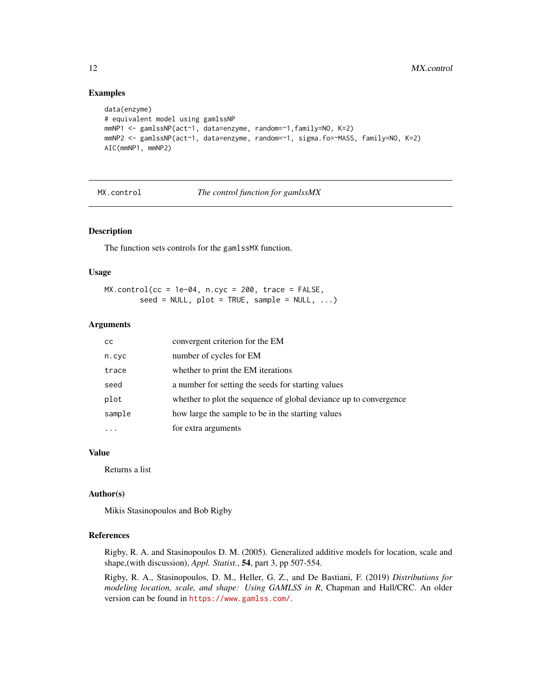#### Examples

```
data(enzyme)
# equivalent model using gamlssNP
mmNP1 <- gamlssNP(act~1, data=enzyme, random=~1,family=NO, K=2)
mmNP2 <- gamlssNP(act~1, data=enzyme, random=~1, sigma.fo=~MASS, family=NO, K=2)
AIC(mmNP1, mmNP2)
```
#### MX.control *The control function for gamlssMX*

#### Description

The function sets controls for the gamlssMX function.

#### Usage

```
MX.control(cc = 1e-04, n.cyc = 200, trace = FALSE,
        seed = NULL, plot = TRUE, sample = NULL, ...)
```
#### Arguments

| <sub>CC</sub> | convergent criterion for the EM                                   |
|---------------|-------------------------------------------------------------------|
| n.cyc         | number of cycles for EM                                           |
| trace         | whether to print the EM iterations                                |
| seed          | a number for setting the seeds for starting values                |
| plot          | whether to plot the sequence of global deviance up to convergence |
| sample        | how large the sample to be in the starting values                 |
|               | for extra arguments                                               |

#### Value

Returns a list

#### Author(s)

Mikis Stasinopoulos and Bob Rigby

#### References

Rigby, R. A. and Stasinopoulos D. M. (2005). Generalized additive models for location, scale and shape,(with discussion), *Appl. Statist.*, 54, part 3, pp 507-554.

Rigby, R. A., Stasinopoulos, D. M., Heller, G. Z., and De Bastiani, F. (2019) *Distributions for modeling location, scale, and shape: Using GAMLSS in R*, Chapman and Hall/CRC. An older version can be found in <https://www.gamlss.com/>.

<span id="page-11-0"></span>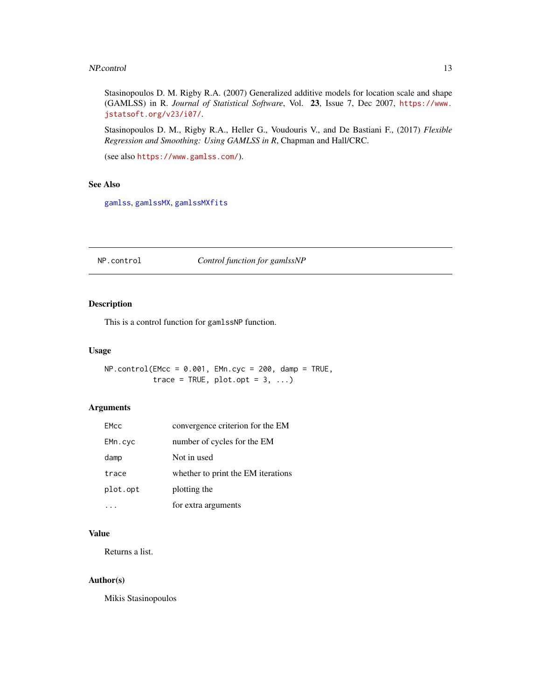#### <span id="page-12-0"></span>NP.control 13

Stasinopoulos D. M. Rigby R.A. (2007) Generalized additive models for location scale and shape (GAMLSS) in R. *Journal of Statistical Software*, Vol. 23, Issue 7, Dec 2007, [https://www.](https://www.jstatsoft.org/v23/i07/) [jstatsoft.org/v23/i07/](https://www.jstatsoft.org/v23/i07/).

Stasinopoulos D. M., Rigby R.A., Heller G., Voudouris V., and De Bastiani F., (2017) *Flexible Regression and Smoothing: Using GAMLSS in R*, Chapman and Hall/CRC.

```
(see also https://www.gamlss.com/).
```
#### See Also

[gamlss](#page-0-0), [gamlssMX](#page-5-1), [gamlssMXfits](#page-5-2)

#### NP.control *Control function for gamlssNP*

#### Description

This is a control function for gamlssNP function.

#### Usage

 $NP.control(EMcc = 0.001, EMn.cyc = 200, dam = TRUE,$ trace = TRUE,  $plot.opt = 3, ...$ 

#### Arguments

| <b>EMcc</b> | convergence criterion for the EM   |
|-------------|------------------------------------|
| EMn.cyc     | number of cycles for the EM        |
| damp        | Not in used                        |
| trace       | whether to print the EM iterations |
| plot.opt    | plotting the                       |
|             | for extra arguments                |

### Value

Returns a list.

#### Author(s)

Mikis Stasinopoulos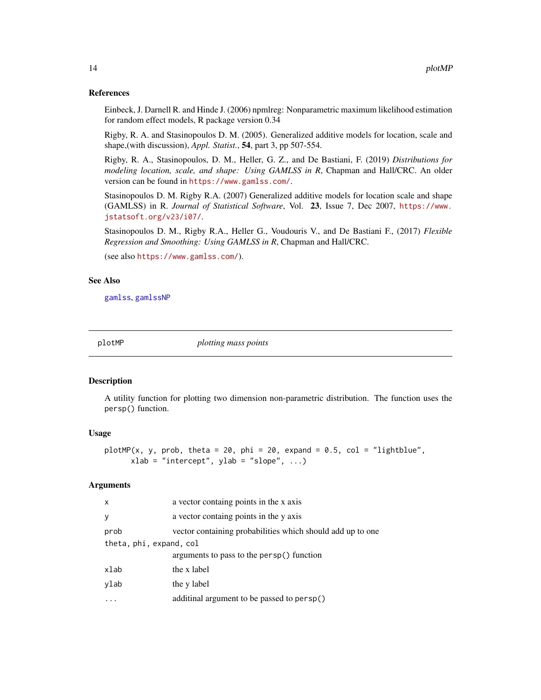#### References

Einbeck, J. Darnell R. and Hinde J. (2006) npmlreg: Nonparametric maximum likelihood estimation for random effect models, R package version 0.34

Rigby, R. A. and Stasinopoulos D. M. (2005). Generalized additive models for location, scale and shape,(with discussion), *Appl. Statist.*, 54, part 3, pp 507-554.

Rigby, R. A., Stasinopoulos, D. M., Heller, G. Z., and De Bastiani, F. (2019) *Distributions for modeling location, scale, and shape: Using GAMLSS in R*, Chapman and Hall/CRC. An older version can be found in <https://www.gamlss.com/>.

Stasinopoulos D. M. Rigby R.A. (2007) Generalized additive models for location scale and shape (GAMLSS) in R. *Journal of Statistical Software*, Vol. 23, Issue 7, Dec 2007, [https://www.](https://www.jstatsoft.org/v23/i07/) [jstatsoft.org/v23/i07/](https://www.jstatsoft.org/v23/i07/).

Stasinopoulos D. M., Rigby R.A., Heller G., Voudouris V., and De Bastiani F., (2017) *Flexible Regression and Smoothing: Using GAMLSS in R*, Chapman and Hall/CRC.

(see also <https://www.gamlss.com/>).

#### See Also

[gamlss](#page-0-0), [gamlssNP](#page-7-1)

plotMP *plotting mass points*

#### **Description**

A utility function for plotting two dimension non-parametric distribution. The function uses the persp() function.

#### Usage

plotMP(x, y, prob, theta = 20, phi = 20, expand =  $0.5$ , col = "lightblue",  $xlab = "intercept", ylab = "slope", ...)$ 

#### Arguments

| $\times$                | a vector containg points in the x axis                     |  |
|-------------------------|------------------------------------------------------------|--|
| y                       | a vector containg points in the y axis                     |  |
| prob                    | vector containing probabilities which should add up to one |  |
| theta, phi, expand, col |                                                            |  |
|                         | arguments to pass to the persp() function                  |  |
| xlab                    | the x label                                                |  |
| ylab                    | the y label                                                |  |
|                         | additinal argument to be passed to persp()                 |  |

<span id="page-13-0"></span>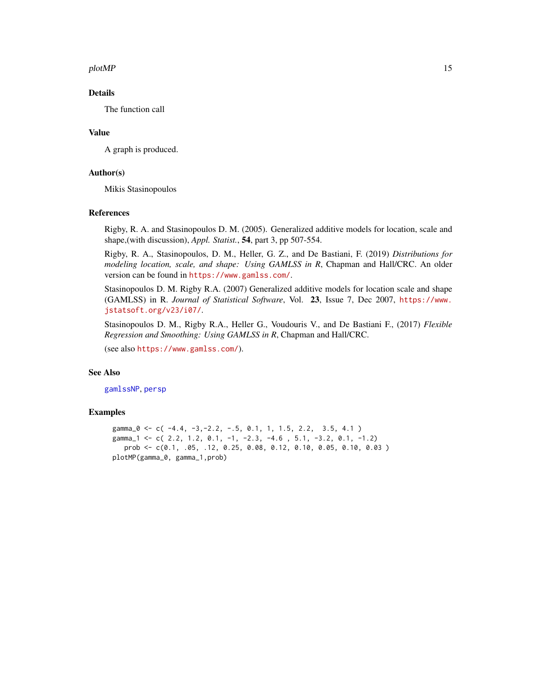#### <span id="page-14-0"></span> $p$ lotMP 15

#### Details

The function call

#### Value

A graph is produced.

#### Author(s)

Mikis Stasinopoulos

#### References

Rigby, R. A. and Stasinopoulos D. M. (2005). Generalized additive models for location, scale and shape,(with discussion), *Appl. Statist.*, 54, part 3, pp 507-554.

Rigby, R. A., Stasinopoulos, D. M., Heller, G. Z., and De Bastiani, F. (2019) *Distributions for modeling location, scale, and shape: Using GAMLSS in R*, Chapman and Hall/CRC. An older version can be found in <https://www.gamlss.com/>.

Stasinopoulos D. M. Rigby R.A. (2007) Generalized additive models for location scale and shape (GAMLSS) in R. *Journal of Statistical Software*, Vol. 23, Issue 7, Dec 2007, [https://www.](https://www.jstatsoft.org/v23/i07/) [jstatsoft.org/v23/i07/](https://www.jstatsoft.org/v23/i07/).

Stasinopoulos D. M., Rigby R.A., Heller G., Voudouris V., and De Bastiani F., (2017) *Flexible Regression and Smoothing: Using GAMLSS in R*, Chapman and Hall/CRC.

(see also <https://www.gamlss.com/>).

#### See Also

[gamlssNP](#page-7-1), [persp](#page-0-0)

#### Examples

gamma\_0 <- c( -4.4, -3, -2.2, -.5, 0.1, 1, 1.5, 2.2, 3.5, 4.1 ) gamma<sub>-</sub>1 <- c( 2.2, 1.2, 0.1, -1, -2.3, -4.6, 5.1, -3.2, 0.1, -1.2) prob <- c(0.1, .05, .12, 0.25, 0.08, 0.12, 0.10, 0.05, 0.10, 0.03 ) plotMP(gamma\_0, gamma\_1,prob)